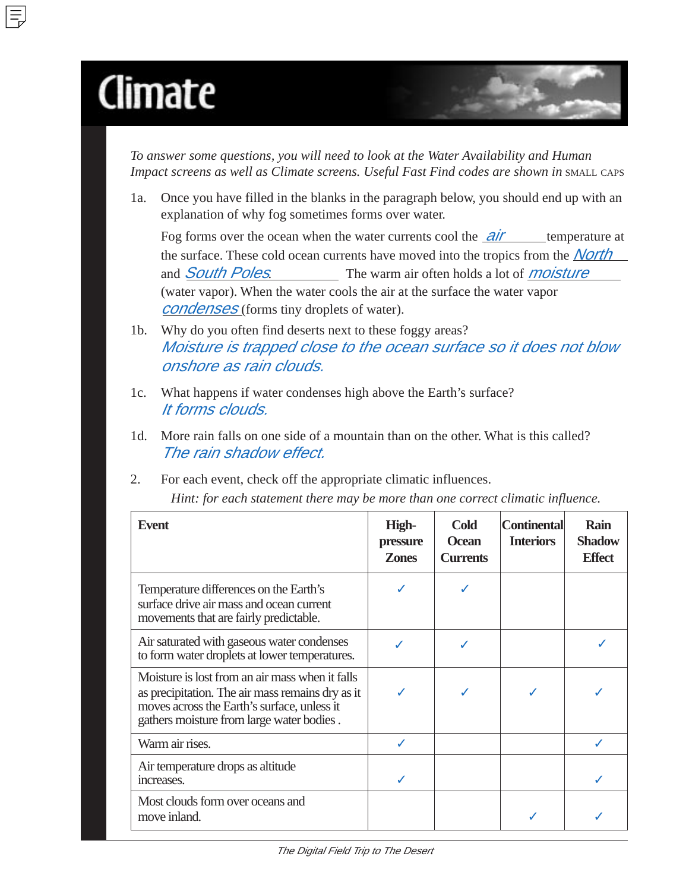## Climate

*To answer some questions, you will need to look at the Water Availability and Human Impact screens as well as Climate screens. Useful Fast Find codes are shown in SMALL CAPS* 

1a. Once you have filled in the blanks in the paragraph below, you should end up with an explanation of why fog sometimes forms over water.

Fog forms over the ocean when the water currents cool the  $air$  temperature at the surface. These cold ocean currents have moved into the tropics from the **North** and **South Poles.** The warm air often holds a lot of *moisture* (water vapor). When the water cools the air at the surface the water vapor *condenses* (forms tiny droplets of water).

- 1b. Why do you often find deserts next to these foggy areas? Moisture is trapped close to the ocean surface so it does not blow onshore as rain clouds.
- 1c. What happens if water condenses high above the Earth's surface? It forms clouds.
- 1d. More rain falls on one side of a mountain than on the other. What is this called? The rain shadow effect.
- 2. For each event, check off the appropriate climatic influences.

*Hint: for each statement there may be more than one correct climatic influence.*

| <b>Event</b>                                                                                                                                                                                    | High-<br>pressure<br><b>Zones</b> | <b>Cold</b><br><b>Ocean</b><br><b>Currents</b> | <b>Continental</b><br><b>Interiors</b> | Rain<br><b>Shadow</b><br><b>Effect</b> |
|-------------------------------------------------------------------------------------------------------------------------------------------------------------------------------------------------|-----------------------------------|------------------------------------------------|----------------------------------------|----------------------------------------|
| Temperature differences on the Earth's<br>surface drive air mass and ocean current<br>movements that are fairly predictable.                                                                    |                                   |                                                |                                        |                                        |
| Air saturated with gaseous water condenses<br>to form water droplets at lower temperatures.                                                                                                     |                                   |                                                |                                        |                                        |
| Moisture is lost from an air mass when it falls<br>as precipitation. The air mass remains dry as it<br>moves across the Earth's surface, unless it<br>gathers moisture from large water bodies. |                                   |                                                |                                        |                                        |
| Warm air rises.                                                                                                                                                                                 | J                                 |                                                |                                        |                                        |
| Air temperature drops as altitude<br>increases.                                                                                                                                                 |                                   |                                                |                                        |                                        |
| Most clouds form over oceans and<br>move inland.                                                                                                                                                |                                   |                                                |                                        |                                        |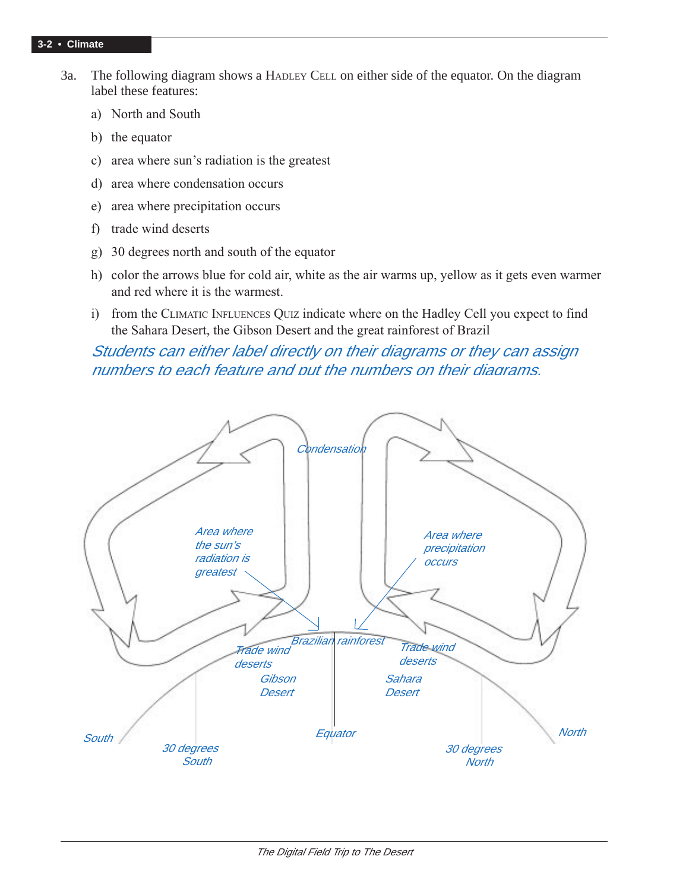## **3-2 • Climate**

- 3a. The following diagram shows a HADLEY CELL on either side of the equator. On the diagram label these features:
	- a) North and South
	- b) the equator
	- c) area where sun's radiation is the greatest
	- d) area where condensation occurs
	- e) area where precipitation occurs
	- f) trade wind deserts
	- g) 30 degrees north and south of the equator
	- h) color the arrows blue for cold air, white as the air warms up, yellow as it gets even warmer and red where it is the warmest.
	- i) from the CLIMATIC INFLUENCES QUIZ indicate where on the Hadley Cell you expect to find the Sahara Desert, the Gibson Desert and the great rainforest of Brazil

## Students can either label directly on their diagrams or they can assign numbers to each feature and put the numbers on their diagrams.

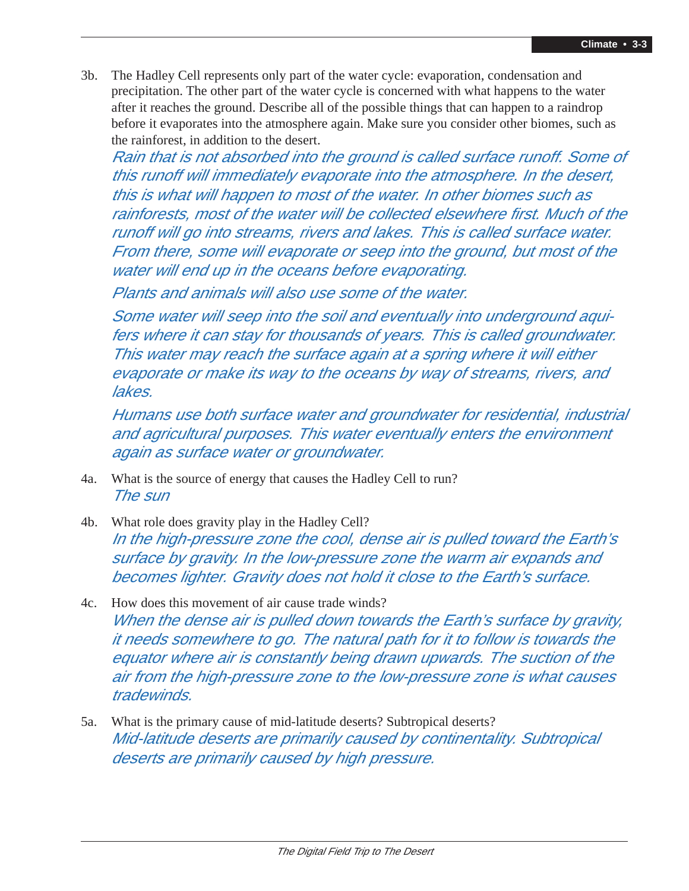3b. The Hadley Cell represents only part of the water cycle: evaporation, condensation and precipitation. The other part of the water cycle is concerned with what happens to the water after it reaches the ground. Describe all of the possible things that can happen to a raindrop before it evaporates into the atmosphere again. Make sure you consider other biomes, such as the rainforest, in addition to the desert.

Rain that is not absorbed into the ground is called surface runoff. Some of this runoff will immediately evaporate into the atmosphere. In the desert, this is what will happen to most of the water. In other biomes such as rainforests, most of the water will be collected elsewhere first. Much of the runoff will go into streams, rivers and lakes. This is called surface water. From there, some will evaporate or seep into the ground, but most of the water will end up in the oceans before evaporating.

Plants and animals will also use some of the water.

Some water will seep into the soil and eventually into underground aquifers where it can stay for thousands of years. This is called groundwater. This water may reach the surface again at a spring where it will either evaporate or make its way to the oceans by way of streams, rivers, and lakes.

Humans use both surface water and groundwater for residential, industrial and agricultural purposes. This water eventually enters the environment again as surface water or groundwater.

- 4a. What is the source of energy that causes the Hadley Cell to run? The sun
- 4b. What role does gravity play in the Hadley Cell? In the high-pressure zone the cool, dense air is pulled toward the Earth's surface by gravity. In the low-pressure zone the warm air expands and becomes lighter. Gravity does not hold it close to the Earth's surface.
- 4c. How does this movement of air cause trade winds? When the dense air is pulled down towards the Earth's surface by gravity, it needs somewhere to go. The natural path for it to follow is towards the equator where air is constantly being drawn upwards. The suction of the air from the high-pressure zone to the low-pressure zone is what causes tradewinds.
- 5a. What is the primary cause of mid-latitude deserts? Subtropical deserts? Mid-latitude deserts are primarily caused by continentality. Subtropical deserts are primarily caused by high pressure.